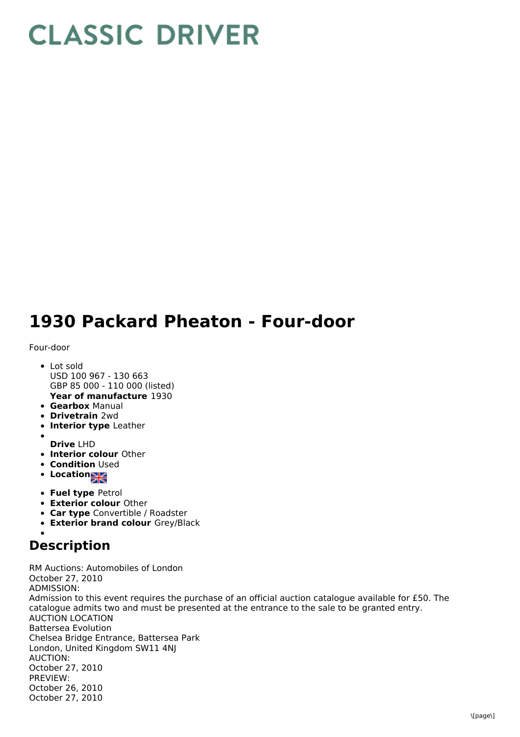## **CLASSIC DRIVER**

## **1930 Packard Pheaton - Four-door**

## Four-door

- **Year of manufacture** 1930 • Lot sold USD 100 967 - 130 663 GBP 85 000 - 110 000 (listed)
- **Gearbox** Manual
- **Drivetrain** 2wd
- **Interior type** Leather
- 
- **Drive** LHD
- **Interior colour** Other
- **Condition Used**
- **•** Location
- **Fuel type** Petrol
- **Exterior colour** Other
- **Car type** Convertible / Roadster
- **Exterior brand colour** Grey/Black

## **Description**

RM Auctions: Automobiles of London October 27, 2010 ADMISSION: Admission to this event requires the purchase of an official auction catalogue available for £50. The catalogue admits two and must be presented at the entrance to the sale to be granted entry. AUCTION LOCATION Battersea Evolution Chelsea Bridge Entrance, Battersea Park London, United Kingdom SW11 4NJ AUCTION: October 27, 2010 PREVIEW: October 26, 2010 October 27, 2010